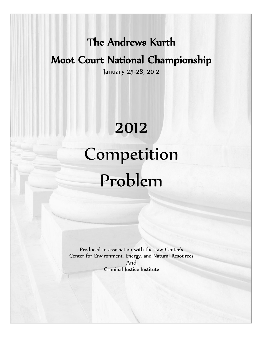## The Andrews Kurth

## Moot Court National Championship

January 25-28, 2012

## 2012

# Competition Problem

Produced in association with the Law Center's Center for Environment, Energy, and Natural Resources And Criminal Justice Institute

1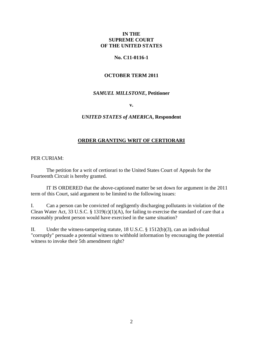#### **IN THE SUPREME COURT OF THE UNITED STATES**

#### **No. C11-0116-1**

#### **OCTOBER TERM 2011**

#### *SAMUEL MILLSTONE***, Petitioner**

**v.**

#### *UNITED STATES of AMERICA***, Respondent**

#### **ORDER GRANTING WRIT OF CERTIORARI**

PER CURIAM:

The petition for a writ of certiorari to the United States Court of Appeals for the Fourteenth Circuit is hereby granted.

IT IS ORDERED that the above-captioned matter be set down for argument in the 2011 term of this Court, said argument to be limited to the following issues:

I. Can a person can be convicted of negligently discharging pollutants in violation of the Clean Water Act, 33 U.S.C. § 1319(c)(1)(A), for failing to exercise the standard of care that a reasonably prudent person would have exercised in the same situation?

II. Under the witness-tampering statute, 18 U.S.C. § 1512(b)(3), can an individual "corruptly" persuade a potential witness to withhold information by encouraging the potential witness to invoke their 5th amendment right?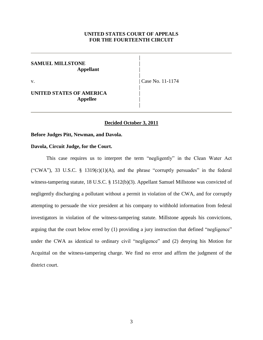#### **UNITED STATES COURT OF APPEALS FOR THE FOURTEENTH CIRCUIT**

|

|

|

|

#### **SAMUEL MILLSTONE** | **Appellant** |

#### **UNITED STATES OF AMERICA Appellee** |

v. | Case No. 11-1174

#### **Decided October 3, 2011**

#### **Before Judges Pitt, Newman, and Davola.**

#### **Davola, Circuit Judge, for the Court.**

This case requires us to interpret the term "negligently" in the Clean Water Act ("CWA"), 33 U.S.C. § 1319(c)(1)(A), and the phrase "corruptly persuades" in the federal witness-tampering statute, 18 U.S.C. § 1512(b)(3). Appellant Samuel Millstone was convicted of negligently discharging a pollutant without a permit in violation of the CWA, and for corruptly attempting to persuade the vice president at his company to withhold information from federal investigators in violation of the witness-tampering statute. Millstone appeals his convictions, arguing that the court below erred by (1) providing a jury instruction that defined "negligence" under the CWA as identical to ordinary civil "negligence" and (2) denying his Motion for Acquittal on the witness-tampering charge. We find no error and affirm the judgment of the district court.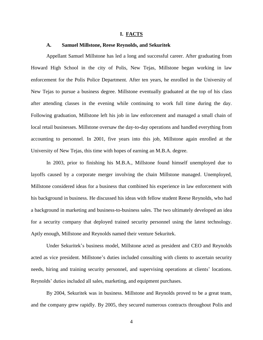#### **I. FACTS**

#### **A. Samuel Millstone, Reese Reynolds, and Sekuritek**

Appellant Samuel Millstone has led a long and successful career. After graduating from Howard High School in the city of Polis, New Tejas, Millstone began working in law enforcement for the Polis Police Department. After ten years, he enrolled in the University of New Tejas to pursue a business degree. Millstone eventually graduated at the top of his class after attending classes in the evening while continuing to work full time during the day. Following graduation, Millstone left his job in law enforcement and managed a small chain of local retail businesses. Millstone oversaw the day-to-day operations and handled everything from accounting to personnel. In 2001, five years into this job, Millstone again enrolled at the University of New Tejas, this time with hopes of earning an M.B.A. degree.

In 2003, prior to finishing his M.B.A., Millstone found himself unemployed due to layoffs caused by a corporate merger involving the chain Millstone managed. Unemployed, Millstone considered ideas for a business that combined his experience in law enforcement with his background in business. He discussed his ideas with fellow student Reese Reynolds, who had a background in marketing and business-to-business sales. The two ultimately developed an idea for a security company that deployed trained security personnel using the latest technology. Aptly enough, Millstone and Reynolds named their venture Sekuritek.

Under Sekuritek's business model, Millstone acted as president and CEO and Reynolds acted as vice president. Millstone's duties included consulting with clients to ascertain security needs, hiring and training security personnel, and supervising operations at clients' locations. Reynolds' duties included all sales, marketing, and equipment purchases.

By 2004, Sekuritek was in business. Millstone and Reynolds proved to be a great team, and the company grew rapidly. By 2005, they secured numerous contracts throughout Polis and

4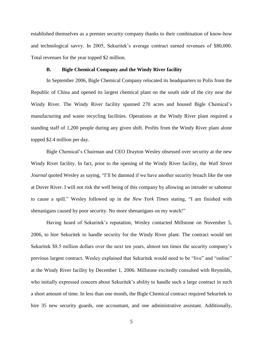established themselves as a premier security company thanks to their combination of know-how and technological savvy. In 2005, Sekuritek's average contract earned revenues of \$80,000. Total revenues for the year topped \$2 million.

#### **B. Bigle Chemical Company and the Windy River facility**

In September 2006, Bigle Chemical Company relocated its headquarters to Polis from the Republic of China and opened its largest chemical plant on the south side of the city near the Windy River. The Windy River facility spanned 270 acres and housed Bigle Chemical's manufacturing and waste recycling facilities. Operations at the Windy River plant required a standing staff of 1,200 people during any given shift. Profits from the Windy River plant alone topped \$2.4 million per day.

Bigle Chemical's Chairman and CEO Drayton Wesley obsessed over security at the new Windy River facility. In fact, prior to the opening of the Windy River facility, the *Wall Street Journal* quoted Wesley as saying, "I'll be damned if we have another security breach like the one at Dover River. I will not risk the well being of this company by allowing an intruder or saboteur to cause a spill." Wesley followed up in the *New York Times* stating, "I am finished with shenanigans caused by poor security. No more shenanigans on my watch!"

Having heard of Sekuritek's reputation, Wesley contacted Millstone on November 5, 2006, to hire Sekuritek to handle security for the Windy River plant. The contract would net Sekuritek \$8.5 million dollars over the next ten years, almost ten times the security company's previous largest contract. Wesley explained that Sekuritek would need to be "live" and "online" at the Windy River facility by December 1, 2006. Millstone excitedly consulted with Reynolds, who initially expressed concern about Sekuritek's ability to handle such a large contract in such a short amount of time. In less than one month, the Bigle Chemical contract required Sekuritek to hire 35 new security guards, one accountant, and one administrative assistant. Additionally,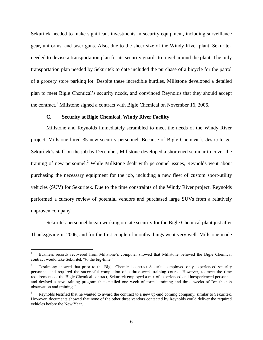Sekuritek needed to make significant investments in security equipment, including surveillance gear, uniforms, and taser guns. Also, due to the sheer size of the Windy River plant, Sekuritek needed to devise a transportation plan for its security guards to travel around the plant. The only transportation plan needed by Sekuritek to date included the purchase of a bicycle for the patrol of a grocery store parking lot. Despite these incredible hurdles, Millstone developed a detailed plan to meet Bigle Chemical's security needs, and convinced Reynolds that they should accept the contract.<sup>1</sup> Millstone signed a contract with Bigle Chemical on November 16, 2006.

#### **C. Security at Bigle Chemical, Windy River Facility**

Millstone and Reynolds immediately scrambled to meet the needs of the Windy River project. Millstone hired 35 new security personnel. Because of Bigle Chemical's desire to get Sekuritek's staff on the job by December, Millstone developed a shortened seminar to cover the training of new personnel.<sup>2</sup> While Millstone dealt with personnel issues, Reynolds went about purchasing the necessary equipment for the job, including a new fleet of custom sport-utility vehicles (SUV) for Sekuritek. Due to the time constraints of the Windy River project, Reynolds performed a cursory review of potential vendors and purchased large SUVs from a relatively unproven company<sup>3</sup>.

Sekuritek personnel began working on-site security for the Bigle Chemical plant just after Thanksgiving in 2006, and for the first couple of months things went very well. Millstone made

<sup>1</sup> Business records recovered from Millstone's computer showed that Millstone believed the Bigle Chemical contract would take Sekuritek "to the big-time."

<sup>2</sup> Testimony showed that prior to the Bigle Chemical contract Sekuritek employed only experienced security personnel and required the successful completion of a three-week training course. However, to meet the time requirements of the Bigle Chemical contract, Sekuritek employed a mix of experienced and inexperienced personnel and devised a new training program that entailed one week of formal training and three weeks of "on the job observation and training."

Reynolds testified that he wanted to award the contract to a new up-and coming company, similar to Sekuritek. However, documents showed that none of the other three vendors contacted by Reynolds could deliver the required vehicles before the New Year.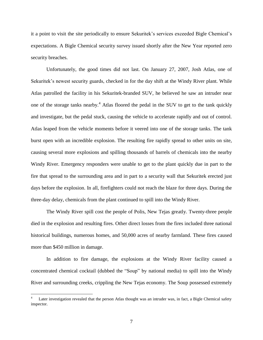it a point to visit the site periodically to ensure Sekuritek's services exceeded Bigle Chemical's expectations. A Bigle Chemical security survey issued shortly after the New Year reported zero security breaches.

Unfortunately, the good times did not last. On January 27, 2007, Josh Atlas, one of Sekuritek's newest security guards, checked in for the day shift at the Windy River plant. While Atlas patrolled the facility in his Sekuritek-branded SUV, he believed he saw an intruder near one of the storage tanks nearby.<sup>4</sup> Atlas floored the pedal in the SUV to get to the tank quickly and investigate, but the pedal stuck, causing the vehicle to accelerate rapidly and out of control. Atlas leaped from the vehicle moments before it veered into one of the storage tanks. The tank burst open with an incredible explosion. The resulting fire rapidly spread to other units on site, causing several more explosions and spilling thousands of barrels of chemicals into the nearby Windy River. Emergency responders were unable to get to the plant quickly due in part to the fire that spread to the surrounding area and in part to a security wall that Sekuritek erected just days before the explosion. In all, firefighters could not reach the blaze for three days. During the three-day delay, chemicals from the plant continued to spill into the Windy River.

The Windy River spill cost the people of Polis, New Tejas greatly. Twenty-three people died in the explosion and resulting fires. Other direct losses from the fires included three national historical buildings, numerous homes, and 50,000 acres of nearby farmland. These fires caused more than \$450 million in damage.

In addition to fire damage, the explosions at the Windy River facility caused a concentrated chemical cocktail (dubbed the "Soup" by national media) to spill into the Windy River and surrounding creeks, crippling the New Tejas economy. The Soup possessed extremely

Later investigation revealed that the person Atlas thought was an intruder was, in fact, a Bigle Chemical safety inspector.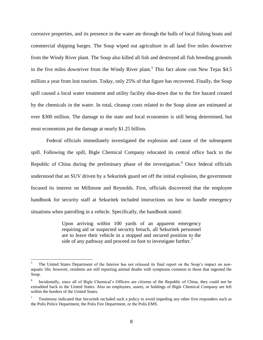corrosive properties, and its presence in the water ate through the hulls of local fishing boats and commercial shipping barges. The Soup wiped out agriculture in all land five miles downriver from the Windy River plant. The Soup also killed all fish and destroyed all fish breeding grounds in the five miles downriver from the Windy River plant.<sup>5</sup> This fact alone cost New Tejas \$4.5 million a year from lost tourism. Today, only 25% of that figure has recovered. Finally, the Soup spill caused a local water treatment and utility facility shut-down due to the fire hazard created by the chemicals in the water. In total, cleanup costs related to the Soup alone are estimated at over \$300 million. The damage to the state and local economies is still being determined, but most economists put the damage at nearly \$1.25 billion.

Federal officials immediately investigated the explosion and cause of the subsequent spill. Following the spill, Bigle Chemical Company relocated its central office back to the Republic of China during the preliminary phase of the investigation.<sup>6</sup> Once federal officials understood that an SUV driven by a Sekuritek guard set off the initial explosion, the government focused its interest on Millstone and Reynolds. First, officials discovered that the employee handbook for security staff at Sekuritek included instructions on how to handle emergency situations when patrolling in a vehicle. Specifically, the handbook stated:

> Upon arriving within 100 yards of an apparent emergency requiring aid or suspected security breach, all Sekuritek personnel are to leave their vehicle in a stopped and secured position to the side of any pathway and proceed on foot to investigate further.<sup>7</sup>

<sup>5</sup> The United States Department of the Interior has not released its final report on the Soup's impact on nonaquatic life; however, residents are still reporting animal deaths with symptoms common to those that ingested the Soup.

<sup>6</sup> Incidentally, since all of Bigle Chemical's Officers are citizens of the Republic of China, they could not be extradited back to the United States. Also no employees, assets, or holdings of Bigle Chemical Company are left within the borders of the United States.

<sup>7</sup> Testimony indicated that Securitek included such a policy to avoid impeding any other first responders such as the Polis Police Department, the Polis Fire Department, or the Polis EMS.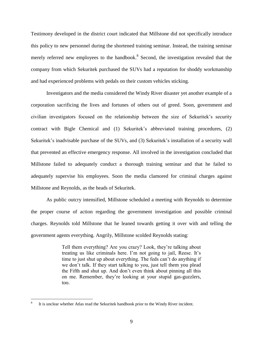Testimony developed in the district court indicated that Millstone did not specifically introduce this policy to new personnel during the shortened training seminar. Instead, the training seminar merely referred new employees to the handbook.<sup>8</sup> Second, the investigation revealed that the company from which Sekuritek purchased the SUVs had a reputation for shoddy workmanship and had experienced problems with pedals on their custom vehicles sticking.

Investigators and the media considered the Windy River disaster yet another example of a corporation sacrificing the lives and fortunes of others out of greed. Soon, government and civilian investigators focused on the relationship between the size of Sekuritek's security contract with Bigle Chemical and (1) Sekuritek's abbreviated training procedures, (2) Sekuritek's inadvisable purchase of the SUVs, and (3) Sekuritek's installation of a security wall that prevented an effective emergency response. All involved in the investigation concluded that Millstone failed to adequately conduct a thorough training seminar and that he failed to adequately supervise his employees. Soon the media clamored for criminal charges against Millstone and Reynolds, as the heads of Sekuritek.

As public outcry intensified, Millstone scheduled a meeting with Reynolds to determine the proper course of action regarding the government investigation and possible criminal charges. Reynolds told Millstone that he leaned towards getting it over with and telling the government agents everything. Angrily, Millstone scolded Reynolds stating:

> Tell them everything? Are you crazy? Look, they're talking about treating us like criminals here. I'm not going to jail, Reese. It's time to just shut up about everything. The feds can't do anything if we don't talk. If they start talking to you, just tell them you plead the Fifth and shut up. And don't even think about pinning all this on me. Remember, they're looking at your stupid gas-guzzlers, too.

<sup>8</sup> It is unclear whether Atlas read the Sekuritek handbook prior to the Windy River incident.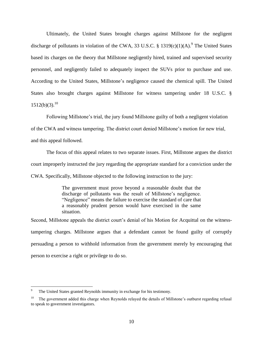Ultimately, the United States brought charges against Millstone for the negligent discharge of pollutants in violation of the CWA, 33 U.S.C. § 1319 $(c)(1)(A)$ .<sup>9</sup> The United States based its charges on the theory that Millstone negligently hired, trained and supervised security personnel, and negligently failed to adequately inspect the SUVs prior to purchase and use. According to the United States, Millstone's negligence caused the chemical spill. The United States also brought charges against Millstone for witness tampering under 18 U.S.C. §  $1512(b)(3).^{10}$ 

Following Millstone's trial, the jury found Millstone guilty of both a negligent violation

of the CWA and witness tampering. The district court denied Millstone's motion for new trial,

and this appeal followed.

 $\overline{a}$ 

The focus of this appeal relates to two separate issues. First, Millstone argues the district court improperly instructed the jury regarding the appropriate standard for a conviction under the CWA. Specifically, Millstone objected to the following instruction to the jury:

> The government must prove beyond a reasonable doubt that the discharge of pollutants was the result of Millstone's negligence. "Negligence" means the failure to exercise the standard of care that a reasonably prudent person would have exercised in the same situation.

Second, Millstone appeals the district court's denial of his Motion for Acquittal on the witnesstampering charges. Millstone argues that a defendant cannot be found guilty of corruptly persuading a person to withhold information from the government merely by encouraging that person to exercise a right or privilege to do so.

The United States granted Reynolds immunity in exchange for his testimony.

<sup>10</sup> The government added this charge when Reynolds relayed the details of Millstone's outburst regarding refusal to speak to government investigators.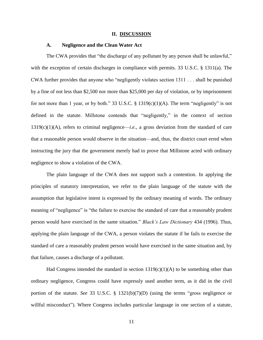#### **II. DISCUSSION**

#### **A. Negligence and the Clean Water Act**

The CWA provides that "the discharge of any pollutant by any person shall be unlawful," with the exception of certain discharges in compliance with permits. 33 U.S.C. § 1311(a). The CWA further provides that anyone who "negligently violates section 1311 . . . shall be punished by a fine of not less than \$2,500 nor more than \$25,000 per day of violation, or by imprisonment for not more than 1 year, or by both." 33 U.S.C. § 1319(c)(1)(A). The term "negligently" is not defined in the statute. Millstone contends that "negligently," in the context of section 1319(c)(1)(A), refers to criminal negligence—*i.e.*, a gross deviation from the standard of care that a reasonable person would observe in the situation—and, thus, the district court erred when instructing the jury that the government merely had to prove that Millstone acted with ordinary negligence to show a violation of the CWA.

The plain language of the CWA does not support such a contention. In applying the principles of statutory interpretation, we refer to the plain language of the statute with the assumption that legislative intent is expressed by the ordinary meaning of words. The ordinary meaning of "negligence" is "the failure to exercise the standard of care that a reasonably prudent person would have exercised in the same situation." *Black's Law Dictionary* 434 (1996). Thus, applying the plain language of the CWA, a person violates the statute if he fails to exercise the standard of care a reasonably prudent person would have exercised in the same situation and, by that failure, causes a discharge of a pollutant.

Had Congress intended the standard in section  $1319(c)(1)(A)$  to be something other than ordinary negligence, Congress could have expressly used another term, as it did in the civil portion of the statute. *See* 33 U.S.C. § 1321(b)(7)(D) (using the terms "gross negligence or willful misconduct"). Where Congress includes particular language in one section of a statute,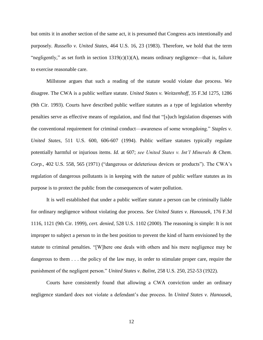but omits it in another section of the same act, it is presumed that Congress acts intentionally and purposely. *Russello v. United States*, 464 U.S. 16, 23 (1983). Therefore, we hold that the term "negligently," as set forth in section  $1319(c)(1)(A)$ , means ordinary negligence—that is, failure to exercise reasonable care.

Millstone argues that such a reading of the statute would violate due process. We disagree. The CWA is a public welfare statute. *United States v. Weitzenhoff*, 35 F.3d 1275, 1286 (9th Cir. 1993). Courts have described public welfare statutes as a type of legislation whereby penalties serve as effective means of regulation, and find that "[s]uch legislation dispenses with the conventional requirement for criminal conduct—awareness of some wrongdoing." *Staples v. United States*, 511 U.S. 600, 606-607 (1994). Public welfare statutes typically regulate potentially harmful or injurious items. *Id.* at 607; *see United States v. Int'l Minerals & Chem. Corp.*, 402 U.S. 558, 565 (1971) ("dangerous or deleterious devices or products"). The CWA's regulation of dangerous pollutants is in keeping with the nature of public welfare statutes as its purpose is to protect the public from the consequences of water pollution.

It is well established that under a public welfare statute a person can be criminally liable for ordinary negligence without violating due process. *See United States v. Hanousek*, 176 F.3d 1116, 1121 (9th Cir. 1999), *cert. denied*, 528 U.S. 1102 (2000). The reasoning is simple: It is not improper to subject a person to in the best position to prevent the kind of harm envisioned by the statute to criminal penalties. "[W]here one deals with others and his mere negligence may be dangerous to them . . . the policy of the law may, in order to stimulate proper care, require the punishment of the negligent person." *United States v. Balint*, 258 U.S. 250, 252-53 (1922).

Courts have consistently found that allowing a CWA conviction under an ordinary negligence standard does not violate a defendant's due process. In *United States v. Hanousek*,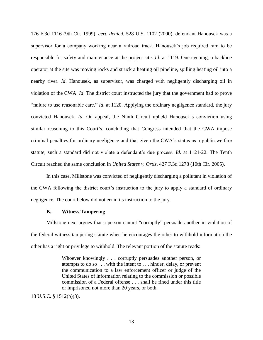176 F.3d 1116 (9th Cir. 1999), *cert. denied*, 528 U.S. 1102 (2000), defendant Hanousek was a supervisor for a company working near a railroad track. Hanousek's job required him to be responsible for safety and maintenance at the project site. *Id*. at 1119. One evening, a backhoe operator at the site was moving rocks and struck a heating oil pipeline, spilling heating oil into a nearby river. *Id*. Hanousek, as supervisor, was charged with negligently discharging oil in violation of the CWA. *Id*. The district court instructed the jury that the government had to prove "failure to use reasonable care." *Id*. at 1120. Applying the ordinary negligence standard, the jury convicted Hanousek. *Id*. On appeal, the Ninth Circuit upheld Hanousek's conviction using similar reasoning to this Court's, concluding that Congress intended that the CWA impose criminal penalties for ordinary negligence and that given the CWA's status as a public welfare statute, such a standard did not violate a defendant's due process. *Id.* at 1121-22. The Tenth Circuit reached the same conclusion in *United States v. Ortiz*, 427 F.3d 1278 (10th Cir. 2005).

In this case, Millstone was convicted of negligently discharging a pollutant in violation of the CWA following the district court's instruction to the jury to apply a standard of ordinary negligence. The court below did not err in its instruction to the jury.

#### **B. Witness Tampering**

Millstone next argues that a person cannot "corruptly" persuade another in violation of the federal witness-tampering statute when he encourages the other to withhold information the other has a right or privilege to withhold. The relevant portion of the statute reads:

> Whoever knowingly . . . corruptly persuades another person, or attempts to do so . . . with the intent to . . . hinder, delay, or prevent the communication to a law enforcement officer or judge of the United States of information relating to the commission or possible commission of a Federal offense . . . shall be fined under this title or imprisoned not more than 20 years, or both.

18 U.S.C. § 1512(b)(3).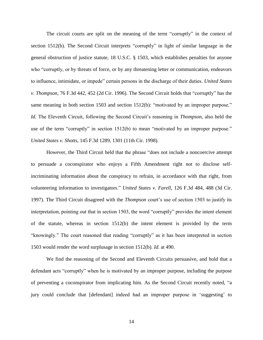The circuit courts are split on the meaning of the term "corruptly" in the context of section 1512(b). The Second Circuit interprets "corruptly" in light of similar language in the general obstruction of justice statute, 18 U.S.C. § 1503, which establishes penalties for anyone who "corruptly, or by threats of force, or by any threatening letter or communication, endeavors to influence, intimidate, or impede" certain persons in the discharge of their duties. *United States v. Thompson*, 76 F.3d 442, 452 (2d Cir. 1996). The Second Circuit holds that "corruptly" has the same meaning in both section 1503 and section 1512(b): "motivated by an improper purpose." *Id.* The Eleventh Circuit, following the Second Circuit's reasoning in *Thompson*, also held the use of the term "corruptly" in section 1512(b) to mean "motivated by an improper purpose." *United States v. Shotts*, 145 F.3d 1289, 1301 (11th Cir. 1998).

However, the Third Circuit held that the phrase "does not include a noncoercive attempt to persuade a coconspirator who enjoys a Fifth Amendment right not to disclose selfincriminating information about the conspiracy to refrain, in accordance with that right, from volunteering information to investigators." *United States v. Farell*, 126 F.3d 484, 488 (3d Cir. 1997). The Third Circuit disagreed with the *Thompson* court's use of section 1503 to justify its interpretation, pointing out that in section 1503, the word "corruptly" provides the intent element of the statute, whereas in section  $1512(b)$  the intent element is provided by the term "knowingly." The court reasoned that reading "corruptly" as it has been interpreted in section 1503 would render the word surplusage in section 1512(b). *Id.* at 490.

We find the reasoning of the Second and Eleventh Circuits persuasive, and hold that a defendant acts "corruptly" when he is motivated by an improper purpose, including the purpose of preventing a coconspirator from implicating him. As the Second Circuit recently noted, "a jury could conclude that [defendant] indeed had an improper purpose in 'suggesting' to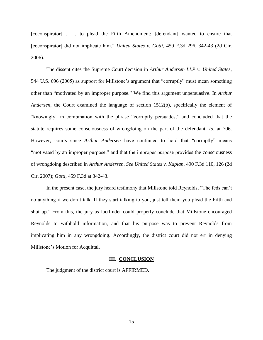[coconspirator] . . . to plead the Fifth Amendment: [defendant] wanted to ensure that [coconspirator] did not implicate him." *United States v. Gotti*, 459 F.3d 296, 342-43 (2d Cir. 2006).

The dissent cites the Supreme Court decision in *Arthur Andersen LLP v. United States*, 544 U.S. 696 (2005) as support for Millstone's argument that "corruptly" must mean something other than "motivated by an improper purpose." We find this argument unpersuasive. In *Arthur Andersen*, the Court examined the language of section 1512(b), specifically the element of "knowingly" in combination with the phrase "corruptly persuades," and concluded that the statute requires some consciousness of wrongdoing on the part of the defendant. *Id.* at 706. However, courts since *Arthur Andersen* have continued to hold that "corruptly" means "motivated by an improper purpose," and that the improper purpose provides the consciousness of wrongdoing described in *Arthur Andersen*. *See United States v. Kaplan*, 490 F.3d 110, 126 (2d Cir. 2007); *Gotti*, 459 F.3d at 342-43.

In the present case, the jury heard testimony that Millstone told Reynolds, "The feds can't do anything if we don't talk. If they start talking to you, just tell them you plead the Fifth and shut up." From this, the jury as factfinder could properly conclude that Millstone encouraged Reynolds to withhold information, and that his purpose was to prevent Reynolds from implicating him in any wrongdoing. Accordingly, the district court did not err in denying Millstone's Motion for Acquittal.

#### **III. CONCLUSION**

The judgment of the district court is AFFIRMED.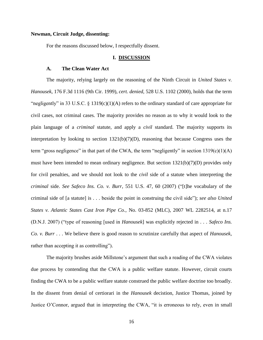#### **Newman, Circuit Judge, dissenting:**

For the reasons discussed below, I respectfully dissent.

#### **I. DISCUSSION**

#### **A. The Clean Water Act**

The majority, relying largely on the reasoning of the Ninth Circuit in *United States v. Hanousek*, 176 F.3d 1116 (9th Cir. 1999), *cert. denied*, 528 U.S. 1102 (2000), holds that the term "negligently" in 33 U.S.C. § 1319(c)(1)(A) refers to the ordinary standard of care appropriate for civil cases, not criminal cases. The majority provides no reason as to why it would look to the plain language of a *criminal* statute, and apply a *civil* standard. The majority supports its interpretation by looking to section 1321(b)(7)(D), reasoning that because Congress uses the term "gross negligence" in that part of the CWA, the term "negligently" in section  $1319(c)(1)(A)$ must have been intended to mean ordinary negligence. But section 1321(b)(7)(D) provides only for civil penalties, and we should not look to the *civil* side of a statute when interpreting the *criminal* side. *See Safeco Ins. Co. v. Burr*, 551 U.S. 47, 60 (2007) ("[t]he vocabulary of the criminal side of [a statute] is . . . beside the point in construing the civil side"); *see also United States v. Atlantic States Cast Iron Pipe Co.*, No. 03-852 (MLC), 2007 WL 2282514, at n.17 (D.N.J. 2007) ("type of reasoning [used in *Hanousek*] was explicitly rejected in . . . *Safeco Ins. Co. v. Burr* . . . We believe there is good reason to scrutinize carefully that aspect of *Hanousek*, rather than accepting it as controlling").

The majority brushes aside Millstone's argument that such a reading of the CWA violates due process by contending that the CWA is a public welfare statute. However, circuit courts finding the CWA to be a public welfare statute construed the public welfare doctrine too broadly. In the dissent from denial of certiorari in the *Hanousek* decistion, Justice Thomas, joined by Justice O'Connor, argued that in interpreting the CWA, "it is erroneous to rely, even in small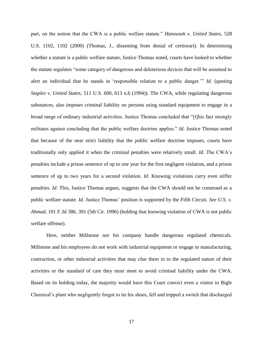part, on the notion that the CWA is a public welfare statute." *Hanousek v. United States*, 528 U.S. 1102, 1102 (2000) (Thomas, J., dissenting from denial of certiorari). In determining whether a statute is a public welfare statute, Justice Thomas noted, courts have looked to whether the statute regulates "some category of dangerous and deleterious devices that will be assumed to alert an individual that he stands in 'responsible relation to a public danger.'" *Id.* (quoting *Staples v. United States*, 511 U.S. 600, 613 n.6 (1994)). The CWA, while regulating dangerous substances, also imposes criminal liability on persons using standard equipment to engage in a broad range of ordinary industrial activities. Justice Thomas concluded that "[t]his fact strongly militates against concluding that the public welfare doctrine applies." *Id.* Justice Thomas noted that because of the near strict liability that the public welfare doctrine imposes, courts have traditionally only applied it when the criminal penalties were relatively small. *Id*. The CWA's penalties include a prison sentence of up to one year for the first negligent violation, and a prison sentence of up to two years for a second violation. *Id*. Knowing violations carry even stiffer penalties. *Id*. This, Justice Thomas argues, suggests that the CWA should not be construed as a public welfare statute. *Id.* Justice Thomas' position is supported by the Fifth Circuit. *See U.S. v. Ahmad*, 101 F.3d 386, 391 (5th Cir. 1996) (holding that knowing violation of CWA is not public welfare offense).

Here, neither Millstone nor his company handle dangerous regulated chemicals. Millstone and his employees do not work with industrial equipment or engage in manufacturing, contruction, or other industrial activities that may clue them in to the regulated nature of their activities or the standard of care they must meet to avoid criminal liability under the CWA. Based on its holding today, the majority would have this Court convict even a visitor to Bigle Chemical's plant who negligently forgot to tie his shoes, fell and tripped a switch that discharged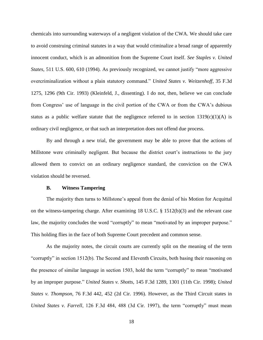chemicals into surrounding waterways of a negligent violation of the CWA. We should take care to avoid construing criminal statutes in a way that would criminalize a broad range of apparently innocent conduct, which is an admonition from the Supreme Court itself. *See Staples v. United States*, 511 U.S. 600, 610 (1994). As previously recognized, we cannot justify "more aggressive overcriminalization without a plain statutory command." *United States v. Weitzenhoff*, 35 F.3d 1275, 1296 (9th Cir. 1993) (Kleinfeld, J., dissenting). I do not, then, believe we can conclude from Congress' use of language in the civil portion of the CWA or from the CWA's dubious status as a public welfare statute that the negligence referred to in section  $1319(c)(1)(A)$  is ordinary civil negligence, or that such an interpretation does not offend due process.

By and through a new trial, the government may be able to prove that the actions of Millstone were criminally negligent. But because the district court's instructions to the jury allowed them to convict on an ordinary negligence standard, the conviction on the CWA violation should be reversed.

#### **B. Witness Tampering**

The majority then turns to Millstone's appeal from the denial of his Motion for Acquittal on the witness-tampering charge. After examining 18 U.S.C. § 1512(b)(3) and the relevant case law, the majority concludes the word "corruptly" to mean "motivated by an improper purpose." This holding flies in the face of both Supreme Court precedent and common sense.

As the majority notes, the circuit courts are currently split on the meaning of the term "corruptly" in section 1512(b). The Second and Eleventh Circuits, both basing their reasoning on the presence of similar language in section 1503, hold the term "corruptly" to mean "motivated by an improper purpose." *United States v. Shotts*, 145 F.3d 1289, 1301 (11th Cir. 1998); *United States v. Thompson*, 76 F.3d 442, 452 (2d Cir. 1996). However, as the Third Circuit states in *United States v. Farrell*, 126 F.3d 484, 488 (3d Cir. 1997), the term "corruptly" must mean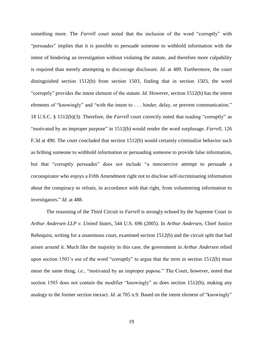something more. The *Farrell* court noted that the inclusion of the word "corruptly" with "persuades" implies that it is possible to persuade someone to withhold information with the intent of hindering an investigation without violating the statute, and therefore more culpability is required than merely attempting to discourage disclosure. *Id.* at 489. Furthermore, the court distinguished section 1512(b) from section 1503, finding that in section 1503, the word "corruptly" provides the intent element of the statute. *Id*. However, section 1512(b) has the intent elements of "knowingly" and "with the intent to . . . hinder, delay, or prevent communication." 18 U.S.C. § 1512(b)(3). Therefore, the *Farrell* court correctly noted that reading "corruptly" as "motivated by an improper purpose" in 1512(b) would render the word surplusage. *Farrell*, 126 F.3d at 490. The court concluded that section 1512(b) would certainly criminalize behavior such as bribing someone to withhold information or persuading someone to provide false information, but that "corruptly persuades" does not include "a noncoercive attempt to persuade a coconspirator who enjoys a Fifth Amendment right not to disclose self-incriminating information about the conspiracy to refrain, in accordance with that right, from volunteering information to investigators." *Id.* at 488.

The reasoning of the Third Circuit in *Farrell* is strongly echoed by the Supreme Court in *Arthur Andersen LLP v. United States*, 544 U.S. 696 (2005). In *Arthur Andersen*, Chief Justice Rehnquist, writing for a unanimous court, examined section 1512(b) and the circuit split that had arisen around it. Much like the majority in this case, the government in *Arthur Andersen* relied upon section 1503's use of the word "corruptly" to argue that the term in section 1512(b) must mean the same thing, *i.e.*, "motivated by an improper pupose." The Court, however, noted that section 1503 does not contain the modifier "knowingly" as does section 1512(b), making any analogy to the former section inexact. *Id.* at 705 n.9. Based on the intent element of "knowingly"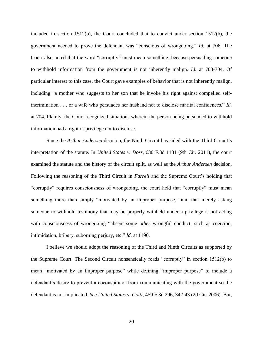included in section 1512(b), the Court concluded that to convict under section 1512(b), the government needed to prove the defendant was "conscious of wrongdoing." *Id.* at 706. The Court also noted that the word "corruptly" must mean something, because persuading someone to withhold information from the government is not inherently malign. *Id.* at 703-704. Of particular interest to this case, the Court gave examples of behavior that is not inherently malign, including "a mother who suggests to her son that he invoke his right against compelled selfincrimination . . . or a wife who persuades her husband not to disclose marital confidences." *Id.* at 704. Plainly, the Court recognized situations wherein the person being persuaded to withhold information had a right or privilege not to disclose.

Since the *Arthur Andersen* decision, the Ninth Circuit has sided with the Third Circuit's interpretation of the statute. In *United States v. Doss*, 630 F.3d 1181 (9th Cir. 2011), the court examined the statute and the history of the circuit split, as well as the *Arthur Andersen* decision. Following the reasoning of the Third Circuit in *Farrell* and the Supreme Court's holding that "corruptly" requires consciousness of wrongdoing, the court held that "corruptly" must mean something more than simply "motivated by an improper purpose," and that merely asking someone to withhold testimony that may be properly withheld under a privilege is not acting with consciousness of wrongdoing "absent some *other* wrongful conduct, such as coercion, intimidation, bribery, suborning perjury, etc." *Id.* at 1190.

I believe we should adopt the reasoning of the Third and Ninth Circuits as supported by the Supreme Court. The Second Circuit nonsensically reads "corruptly" in section 1512(b) to mean "motivated by an improper purpose" while defining "improper purpose" to include a defendant's desire to prevent a coconspirator from communicating with the government so the defendant is not implicated. *See United States v. Gotti*, 459 F.3d 296, 342-43 (2d Cir. 2006). But,